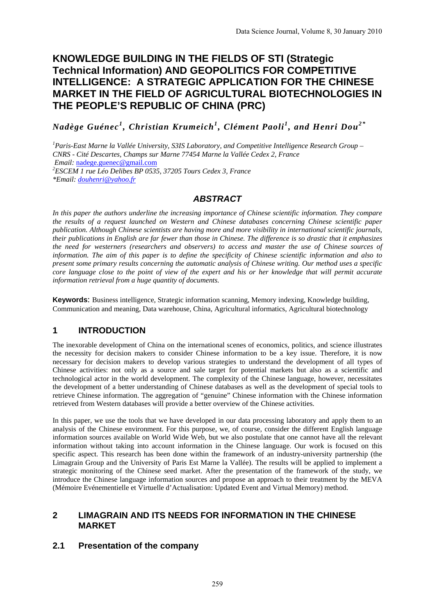# **KNOWLEDGE BUILDING IN THE FIELDS OF STI (Strategic Technical Information) AND GEOPOLITICS FOR COMPETITIVE INTELLIGENCE: A STRATEGIC APPLICATION FOR THE CHINESE MARKET IN THE FIELD OF AGRICULTURAL BIOTECHNOLOGIES IN THE PEOPLE'S REPUBLIC OF CHINA (PRC)**

*Nadège Guénec<sup>1</sup> , Christian Krumeich<sup>1</sup> , Clément Paoli <sup>1</sup> , and Henri Dou2 \**

<sup>1</sup> Paris-East Marne la Vallée University, S3IS Laboratory, and Competitive Intelligence Research Group – *CNRS - Cité Descartes, Champs sur Marne 77454 Marne la Vallée Cedex 2, France Email:* nadege.guenec@gmail.com *ESCEM 1 rue Léo Delibes BP 0535, 37205 Tours Cedex 3, France \*Email: douhenri@yahoo.fr* 

### *ABSTRACT*

*In this paper the authors underline the increasing importance of Chinese scientific information. They compare the results of a request launched on Western and Chinese databases concerning Chinese scientific paper publication. Although Chinese scientists are having more and more visibility in international scientific journals, their publications in English are far fewer than those in Chinese. The difference is so drastic that it emphasizes the need for westerners (researchers and observers) to access and master the use of Chinese sources of information. The aim of this paper is to define the specificity of Chinese scientific information and also to present some primary results concerning the automatic analysis of Chinese writing. Our method uses a specific core language close to the point of view of the expert and his or her knowledge that will permit accurate information retrieval from a huge quantity of documents.* 

**Keywords**: Business intelligence, Strategic information scanning, Memory indexing, Knowledge building, Communication and meaning, Data warehouse, China, Agricultural informatics, Agricultural biotechnology

## **1 INTRODUCTION**

The inexorable development of China on the international scenes of economics, politics, and science illustrates the necessity for decision makers to consider Chinese information to be a key issue. Therefore, it is now necessary for decision makers to develop various strategies to understand the development of all types of Chinese activities: not only as a source and sale target for potential markets but also as a scientific and technological actor in the world development. The complexity of the Chinese language, however, necessitates the development of a better understanding of Chinese databases as well as the development of special tools to retrieve Chinese information. The aggregation of "genuine" Chinese information with the Chinese information retrieved from Western databases will provide a better overview of the Chinese activities.

In this paper, we use the tools that we have developed in our data processing laboratory and apply them to an analysis of the Chinese environment. For this purpose, we, of course, consider the different English language information sources available on World Wide Web, but we also postulate that one cannot have all the relevant information without taking into account information in the Chinese language. Our work is focused on this specific aspect. This research has been done within the framework of an industry-university partnership (the Limagrain Group and the University of Paris Est Marne la Vallée). The results will be applied to implement a strategic monitoring of the Chinese seed market. After the presentation of the framework of the study, we introduce the Chinese language information sources and propose an approach to their treatment by the MEVA (Mémoire Evénementielle et Virtuelle d'Actualisation: Updated Event and Virtual Memory) method.

#### **2 LIMAGRAIN AND ITS NEEDS FOR INFORMATION IN THE CHINESE MARKET**

### **2.1 Presentation of the company**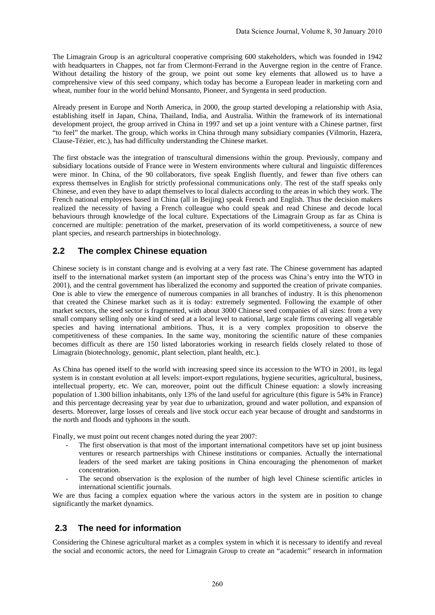The Limagrain Group is an agricultural cooperative comprising 600 stakeholders, which was founded in 1942 with headquarters in Chappes, not far from Clermont-Ferrand in the Auvergne region in the centre of France. Without detailing the history of the group, we point out some key elements that allowed us to have a comprehensive view of this seed company, which today has become a European leader in marketing corn and wheat, number four in the world behind Monsanto, Pioneer, and Syngenta in seed production.

Already present in Europe and North America, in 2000, the group started developing a relationship with Asia, establishing itself in Japan, China, Thailand, India, and Australia. Within the framework of its international development project, the group arrived in China in 1997 and set up a joint venture with a Chinese partner, first "to feel" the market. The group, which works in China through many subsidiary companies (Vilmorin, Hazera, Clause-Tézier, etc.), has had difficulty understanding the Chinese market.

The first obstacle was the integration of transcultural dimensions within the group. Previously, company and subsidiary locations outside of France were in Western environments where cultural and linguistic differences were minor. In China, of the 90 collaborators, five speak English fluently, and fewer than five others can express themselves in English for strictly professional communications only. The rest of the staff speaks only Chinese, and even they have to adapt themselves to local dialects according to the areas in which they work. The French national employees based in China (all in Beijing) speak French and English. Thus the decision makers realized the necessity of having a French colleague who could speak and read Chinese and decode local behaviours through knowledge of the local culture. Expectations of the Limagrain Group as far as China is concerned are multiple: penetration of the market, preservation of its world competitiveness, a source of new plant species, and research partnerships in biotechnology.

### **2.2 The complex Chinese equation**

Chinese society is in constant change and is evolving at a very fast rate. The Chinese government has adapted itself to the international market system (an important step of the process was China's entry into the WTO in 2001), and the central government has liberalized the economy and supported the creation of private companies. One is able to view the emergence of numerous companies in all branches of industry. It is this phenomenon that created the Chinese market such as it is today: extremely segmented. Following the example of other market sectors, the seed sector is fragmented, with about 3000 Chinese seed companies of all sizes: from a very small company selling only one kind of seed at a local level to national, large scale firms covering all vegetable species and having international ambitions. Thus, it is a very complex proposition to observe the competitiveness of these companies. In the same way, monitoring the scientific nature of these companies becomes difficult as there are 150 listed laboratories working in research fields closely related to those of Limagrain (biotechnology, genomic, plant selection, plant health, etc.).

As China has opened itself to the world with increasing speed since its accession to the WTO in 2001, its legal system is in constant evolution at all levels: import-export regulations, hygiene securities, agricultural, business, intellectual property, etc. We can, moreover, point out the difficult Chinese equation: a slowly increasing population of 1.300 billion inhabitants, only 13% of the land useful for agriculture (this figure is 54% in France) and this percentage decreasing year by year due to urbanization, ground and water pollution, and expansion of deserts. Moreover, large losses of cereals and live stock occur each year because of drought and sandstorms in the north and floods and typhoons in the south.

Finally, we must point out recent changes noted during the year 2007:

- The first observation is that most of the important international competitors have set up joint business ventures or research partnerships with Chinese institutions or companies. Actually the international leaders of the seed market are taking positions in China encouraging the phenomenon of market concentration.
- The second observation is the explosion of the number of high level Chinese scientific articles in international scientific journals.

We are thus facing a complex equation where the various actors in the system are in position to change significantly the market dynamics.

#### **2.3 The need for information**

Considering the Chinese agricultural market as a complex system in which it is necessary to identify and reveal the social and economic actors, the need for Limagrain Group to create an "academic" research in information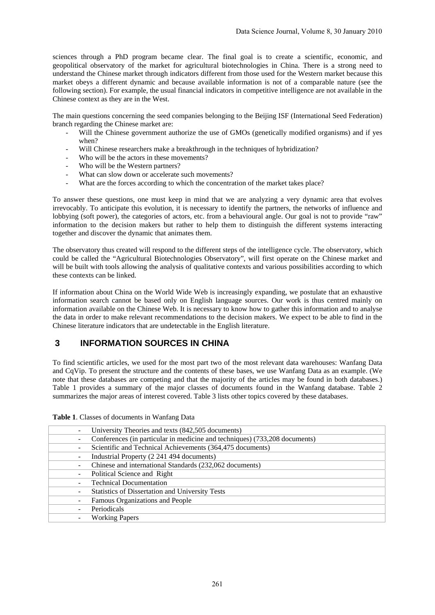sciences through a PhD program became clear. The final goal is to create a scientific, economic, and geopolitical observatory of the market for agricultural biotechnologies in China. There is a strong need to understand the Chinese market through indicators different from those used for the Western market because this market obeys a different dynamic and because available information is not of a comparable nature (see the following section). For example, the usual financial indicators in competitive intelligence are not available in the Chinese context as they are in the West.

The main questions concerning the seed companies belonging to the Beijing ISF (International Seed Federation) branch regarding the Chinese market are:

- Will the Chinese government authorize the use of GMOs (genetically modified organisms) and if yes when?
- Will Chinese researchers make a breakthrough in the techniques of hybridization?
- Who will be the actors in these movements?
- Who will be the Western partners?
- What can slow down or accelerate such movements?
- What are the forces according to which the concentration of the market takes place?

To answer these questions, one must keep in mind that we are analyzing a very dynamic area that evolves irrevocably. To anticipate this evolution, it is necessary to identify the partners, the networks of influence and lobbying (soft power), the categories of actors, etc. from a behavioural angle. Our goal is not to provide "raw" information to the decision makers but rather to help them to distinguish the different systems interacting together and discover the dynamic that animates them.

The observatory thus created will respond to the different steps of the intelligence cycle. The observatory, which could be called the "Agricultural Biotechnologies Observatory", will first operate on the Chinese market and will be built with tools allowing the analysis of qualitative contexts and various possibilities according to which these contexts can be linked.

If information about China on the World Wide Web is increasingly expanding, we postulate that an exhaustive information search cannot be based only on English language sources. Our work is thus centred mainly on information available on the Chinese Web. It is necessary to know how to gather this information and to analyse the data in order to make relevant recommendations to the decision makers. We expect to be able to find in the Chinese literature indicators that are undetectable in the English literature.

### **3 INFORMATION SOURCES IN CHINA**

To find scientific articles, we used for the most part two of the most relevant data warehouses: Wanfang Data and CqVip. To present the structure and the contents of these bases, we use Wanfang Data as an example. (We note that these databases are competing and that the majority of the articles may be found in both databases.) Table 1 provides a summary of the major classes of documents found in the Wanfang database. Table 2 summarizes the major areas of interest covered. Table 3 lists other topics covered by these databases.

|  |  |  |  | Table 1. Classes of documents in Wanfang Data |  |
|--|--|--|--|-----------------------------------------------|--|
|--|--|--|--|-----------------------------------------------|--|

| University Theories and texts (842,505 documents)                          |
|----------------------------------------------------------------------------|
| Conferences (in particular in medicine and techniques) (733,208 documents) |
| Scientific and Technical Achievements (364,475 documents)                  |
| Industrial Property (2 241 494 documents)                                  |
| Chinese and international Standards (232,062 documents)                    |
| Political Science and Right                                                |
| <b>Technical Documentation</b>                                             |
| <b>Statistics of Dissertation and University Tests</b>                     |
| Famous Organizations and People                                            |
| Periodicals                                                                |
| <b>Working Papers</b>                                                      |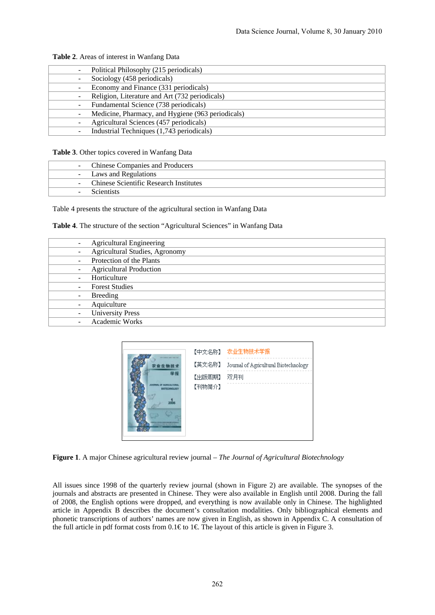| Political Philosophy (215 periodicals)            |
|---------------------------------------------------|
| Sociology (458 periodicals)                       |
| Economy and Finance (331 periodicals)             |
| - Religion, Literature and Art (732 periodicals)  |
| Fundamental Science (738 periodicals)             |
| Medicine, Pharmacy, and Hygiene (963 periodicals) |
| Agricultural Sciences (457 periodicals)           |
| Industrial Techniques (1,743 periodicals)         |
|                                                   |

**Table 2**. Areas of interest in Wanfang Data

**Table 3**. Other topics covered in Wanfang Data

| - Chinese Companies and Producers        |
|------------------------------------------|
| - Laws and Regulations                   |
| - Chinese Scientific Research Institutes |
| <b>Scientists</b>                        |

Table 4 presents the structure of the agricultural section in Wanfang Data

| Table 4. The structure of the section "Agricultural Sciences" in Wanfang Data |  |  |
|-------------------------------------------------------------------------------|--|--|
|-------------------------------------------------------------------------------|--|--|

| <b>Agricultural Engineering</b>       |
|---------------------------------------|
| <b>Agricultural Studies, Agronomy</b> |
| Protection of the Plants              |
| <b>Agricultural Production</b>        |
| Horticulture                          |
| <b>Forest Studies</b>                 |
| Breeding                              |
| Aquiculture                           |
| <b>University Press</b>               |
| <b>Academic Works</b>                 |



**Figure 1**. A major Chinese agricultural review journal – *The Journal of Agricultural Biotechnology*

All issues since 1998 of the quarterly review journal (shown in Figure 2) are available. The synopses of the journals and abstracts are presented in Chinese. They were also available in English until 2008. During the fall of 2008, the English options were dropped, and everything is now available only in Chinese. The highlighted article in Appendix B describes the document's consultation modalities. Only bibliographical elements and phonetic transcriptions of authors' names are now given in English, as shown in Appendix C. A consultation of the full article in pdf format costs from  $0.1 \text{€}$  to  $1 \text{€}$ . The layout of this article is given in Figure 3.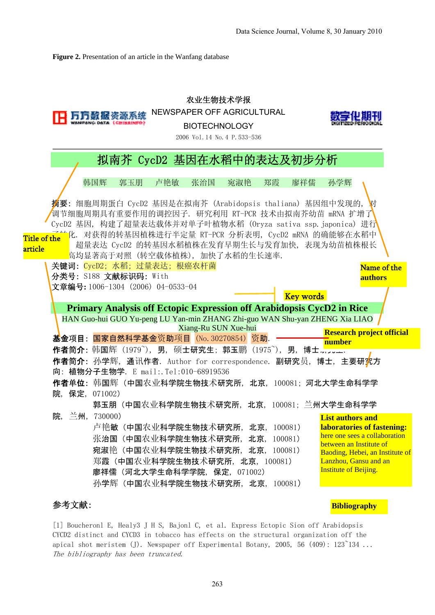**Bibliography**

**Figure 2.** Presentation of an article in the Wanfang database

|                         |                                                                                                   | 农业生物技术学报<br>NEWSPAPER OFF AGRICULTURAL<br><b>BIOTECHNOLOGY</b><br>2006 Vol. 14 No. 4 P. 533-536                                                                                 |                                                                                                                                                      |
|-------------------------|---------------------------------------------------------------------------------------------------|---------------------------------------------------------------------------------------------------------------------------------------------------------------------------------|------------------------------------------------------------------------------------------------------------------------------------------------------|
|                         |                                                                                                   | 拟南芥 CycD2 基因在水稻中的表达及初步分析                                                                                                                                                        |                                                                                                                                                      |
| 韩国辉                     | 郭玉朋<br>卢艳敏<br>张治国                                                                                 | 宛淑艳<br>廖祥儒<br>郑霞                                                                                                                                                                | 孙学辉                                                                                                                                                  |
|                         |                                                                                                   | <b>摘要:</b> 细胞周期蛋白 CycD2 基因是在拟南芥(Arabidopsis thaliana)基因组中发现的,<br>调节细胞周期具有重要作用的调控因子.研究利用 RT-PCR 技术由拟南芥幼苗 mRNA 扩增了<br>CycD2 基因, 构建了超量表达载体并对单子叶植物水稻 (Oryza sativa ssp.japonica) 进行 |                                                                                                                                                      |
| Title of the<br>article | 高均显著高于对照(转空载体植株),加快了水稻的生长速率.                                                                      | 化. 对获得的转基因植株进行半定量 RT-PCR 分析表明, CycD2 mRNA 的确能够在水稻中<br>超量表达 CycD2 的转基因水稻植株在发育早期生长与发育加快, 表现为幼苗植株根长                                                                                |                                                                                                                                                      |
| 分类号: S188 文献标识码: With   | 关键词: CycD2; 水稻; 过量表达; 根癌农杆菌<br>文章编号: 1006-1304 (2006) 04-0533-04                                  |                                                                                                                                                                                 | Name of the<br>authors                                                                                                                               |
|                         |                                                                                                   | <b>Key words</b><br>Primary Analysis off Ectopic Expression off Arabidopsis CycD2 in Rice<br>HAN Guo-hui GUO Yu-peng LU Yan-min ZHANG Zhi-guo WAN Shu-yan ZHENG Xia LIAO        |                                                                                                                                                      |
|                         | 基金项目: 国家自然科学基金资助项目 (No. 30270854) 资助.                                                             | Xiang-Ru SUN Xue-hui                                                                                                                                                            | <b>Research project official</b><br>number                                                                                                           |
|                         | 向: 植物分子生物学. E mail:.Tel:010-68919536                                                              | 作者简介:韩国辉(1979^),男,硕士研究生;郭玉鹏(1975^),男,博士, <u></u> .<br><b>作者简介:</b> 孙学辉,通讯作者.Author for correspondence.副研究员,博士,主要研 <mark>究</mark> 方                                              |                                                                                                                                                      |
| 院, 保定, 071002)          |                                                                                                   | 作者单位:韩国辉(中国农业科学院生物技术研究所,北京,100081;河北大学生命科学学                                                                                                                                     |                                                                                                                                                      |
| 兰州, 730000)<br>院,       | 卢艳敏(中国农业科学院生物技术研究所,北京,100081)<br>张治国(中国农业科学院生物技术研究所,北京,100081)<br>宛淑艳(中国农业科学院生物技术研究所, 北京, 100081) | 郭玉朋(中国农业科学院生物技术研究所,北京,100081;兰州大学生命科学学                                                                                                                                          | <b>List authors and</b><br>laboratories of fastening:<br>here one sees a collaboration<br>between an Institute of<br>Baoding, Hebei, an Institute of |
|                         | 郑霞 (中国农业科学院生物技术研究所, 北京, 100081)<br>廖祥儒 (河北大学生命科学学院, 保定, 071002)<br>孙学辉(中国农业科学院生物技术研究所,北京,100081)  |                                                                                                                                                                                 | Lanzhou, Gansu and an<br><b>Institute of Beijing.</b>                                                                                                |

### 参考文献:

[1] Boucheronl E, Healy3 J H S, Bajonl C, et al. Express Ectopic Sion off Arabidopsis CYCD2 distinct and CYCD3 in tobacco has effects on the structural organization off the apical shot meristem (J). Newspaper off Experimental Botany, 2005, 56  $(409)$ :  $123^{\circ}134$  ... The bibliography has been truncated.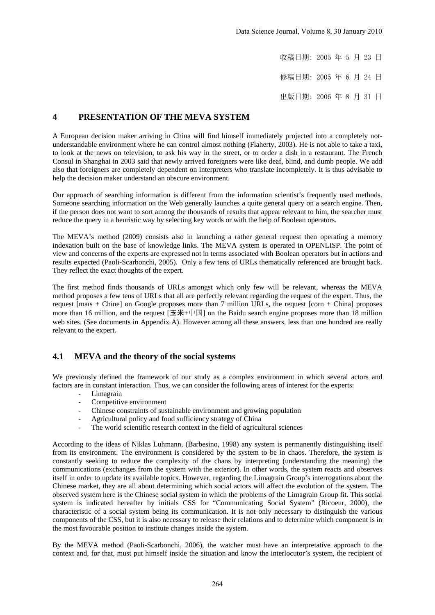收稿日期: 2005 年 5 月 23 日

修稿日期: 2005 年 6 月 24 日

出版日期: 2006 年 8 月 31 日

#### **4 PRESENTATION OF THE MEVA SYSTEM**

A European decision maker arriving in China will find himself immediately projected into a completely notunderstandable environment where he can control almost nothing (Flaherty, 2003). He is not able to take a taxi, to look at the news on television, to ask his way in the street, or to order a dish in a restaurant. The French Consul in Shanghai in 2003 said that newly arrived foreigners were like deaf, blind, and dumb people. We add also that foreigners are completely dependent on interpreters who translate incompletely. It is thus advisable to help the decision maker understand an obscure environment.

Our approach of searching information is different from the information scientist's frequently used methods. Someone searching information on the Web generally launches a quite general query on a search engine. Then, if the person does not want to sort among the thousands of results that appear relevant to him, the searcher must reduce the query in a heuristic way by selecting key words or with the help of Boolean operators.

The MEVA's method (2009) consists also in launching a rather general request then operating a memory indexation built on the base of knowledge links. The MEVA system is operated in OPENLISP. The point of view and concerns of the experts are expressed not in terms associated with Boolean operators but in actions and results expected (Paoli-Scarbonchi, 2005). Only a few tens of URLs thematically referenced are brought back. They reflect the exact thoughts of the expert.

The first method finds thousands of URLs amongst which only few will be relevant, whereas the MEVA method proposes a few tens of URLs that all are perfectly relevant regarding the request of the expert. Thus, the request [maïs + Chine] on Google proposes more than 7 million URLs, the request [corn + China] proposes more than 16 million, and the request  $[\pm \mathcal{H} + \pm \mathbb{E}]$  on the Baidu search engine proposes more than 18 million web sites. (See documents in Appendix A). However among all these answers, less than one hundred are really relevant to the expert.

#### **4.1 MEVA and the theory of the social systems**

We previously defined the framework of our study as a complex environment in which several actors and factors are in constant interaction. Thus, we can consider the following areas of interest for the experts:

- Limagrain
- Competitive environment
- Chinese constraints of sustainable environment and growing population
- Agricultural policy and food sufficiency strategy of China
- The world scientific research context in the field of agricultural sciences

According to the ideas of Niklas Luhmann, (Barbesino, 1998) any system is permanently distinguishing itself from its environment. The environment is considered by the system to be in chaos. Therefore, the system is constantly seeking to reduce the complexity of the chaos by interpreting (understanding the meaning) the communications (exchanges from the system with the exterior). In other words, the system reacts and observes itself in order to update its available topics. However, regarding the Limagrain Group's interrogations about the Chinese market, they are all about determining which social actors will affect the evolution of the system. The observed system here is the Chinese social system in which the problems of the Limagrain Group fit. This social system is indicated hereafter by initials CSS for "Communicating Social System" (Ricoeur, 2000), the characteristic of a social system being its communication. It is not only necessary to distinguish the various components of the CSS, but it is also necessary to release their relations and to determine which component is in the most favourable position to institute changes inside the system.

By the MEVA method (Paoli-Scarbonchi, 2006), the watcher must have an interpretative approach to the context and, for that, must put himself inside the situation and know the interlocutor's system, the recipient of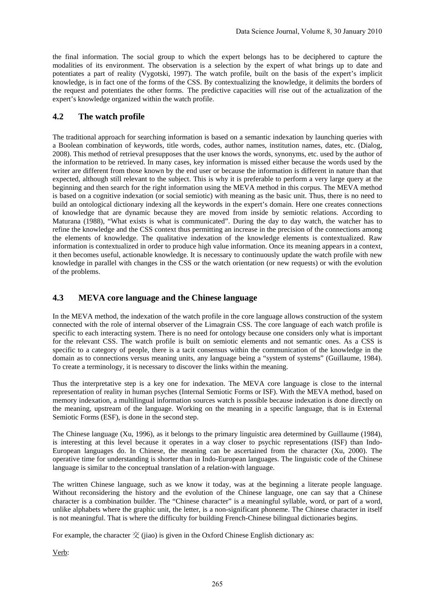the final information. The social group to which the expert belongs has to be deciphered to capture the modalities of its environment. The observation is a selection by the expert of what brings up to date and potentiates a part of reality (Vygotski, 1997). The watch profile, built on the basis of the expert's implicit knowledge, is in fact one of the forms of the CSS. By contextualizing the knowledge, it delimits the borders of the request and potentiates the other forms. The predictive capacities will rise out of the actualization of the expert's knowledge organized within the watch profile.

#### **4.2 The watch profile**

The traditional approach for searching information is based on a semantic indexation by launching queries with a Boolean combination of keywords, title words, codes, author names, institution names, dates, etc. (Dialog, 2008). This method of retrieval presupposes that the user knows the words, synonyms, etc. used by the author of the information to be retrieved. In many cases, key information is missed either because the words used by the writer are different from those known by the end user or because the information is different in nature than that expected, although still relevant to the subject. This is why it is preferable to perform a very large query at the beginning and then search for the right information using the MEVA method in this corpus. The MEVA method is based on a cognitive indexation (or social semiotic) with meaning as the basic unit. Thus, there is no need to build an ontological dictionary indexing all the keywords in the expert's domain. Here one creates connections of knowledge that are dynamic because they are moved from inside by semiotic relations. According to Maturana (1988), "What exists is what is communicated". During the day to day watch, the watcher has to refine the knowledge and the CSS context thus permitting an increase in the precision of the connections among the elements of knowledge. The qualitative indexation of the knowledge elements is contextualized. Raw information is contextualized in order to produce high value information. Once its meaning appears in a context, it then becomes useful, actionable knowledge. It is necessary to continuously update the watch profile with new knowledge in parallel with changes in the CSS or the watch orientation (or new requests) or with the evolution of the problems.

#### **4.3 MEVA core language and the Chinese language**

In the MEVA method, the indexation of the watch profile in the core language allows construction of the system connected with the role of internal observer of the Limagrain CSS. The core language of each watch profile is specific to each interacting system. There is no need for ontology because one considers only what is important for the relevant CSS. The watch profile is built on semiotic elements and not semantic ones. As a CSS is specific to a category of people, there is a tacit consensus within the communication of the knowledge in the domain as to connections versus meaning units, any language being a "system of systems" (Guillaume, 1984). To create a terminology, it is necessary to discover the links within the meaning.

Thus the interpretative step is a key one for indexation. The MEVA core language is close to the internal representation of reality in human psyches (Internal Semiotic Forms or ISF). With the MEVA method, based on memory indexation, a multilingual information sources watch is possible because indexation is done directly on the meaning, upstream of the language. Working on the meaning in a specific language, that is in External Semiotic Forms (ESF), is done in the second step.

The Chinese language (Xu, 1996), as it belongs to the primary linguistic area determined by Guillaume (1984), is interesting at this level because it operates in a way closer to psychic representations (ISF) than Indo-European languages do. In Chinese, the meaning can be ascertained from the character (Xu, 2000). The operative time for understanding is shorter than in Indo-European languages. The linguistic code of the Chinese language is similar to the conceptual translation of a relation-with language.

The written Chinese language, such as we know it today, was at the beginning a literate people language. Without reconsidering the history and the evolution of the Chinese language, one can say that a Chinese character is a combination builder. The "Chinese character" is a meaningful syllable, word, or part of a word, unlike alphabets where the graphic unit, the letter, is a non-significant phoneme. The Chinese character in itself is not meaningful. That is where the difficulty for building French-Chinese bilingual dictionaries begins.

For example, the character  $\tilde{\chi}$  (jiao) is given in the Oxford Chinese English dictionary as:

Verb: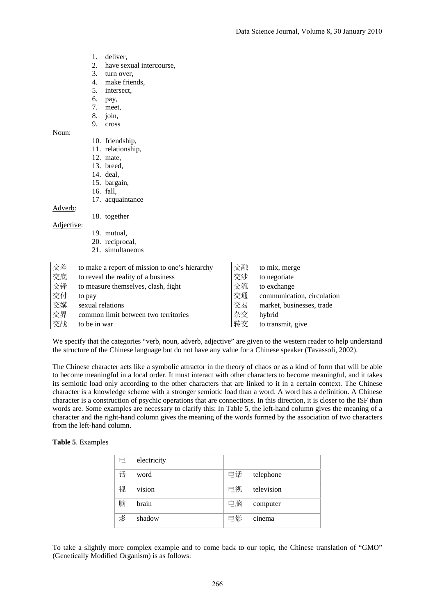- 1. deliver,
- 2. have sexual intercourse,
- 3. turn over,
- 4. make friends,
- 5. intersect,
- 6. pay,
- 7. meet,
- 8. join,
- 9. cross

#### Noun:

- 10. friendship,
- 11. relationship,
- 12. mate,
- 13. breed,
- 14. deal,
- 15. bargain,
- 16. fall,
- 17. acquaintance

#### Adverb:

Adjective:

- 18. together
	- 19. mutual,
	- 20. reciprocal,
	- 21. simultaneous

| 交差 | to make a report of mission to one's hierarchy | 交融 | to mix, merge              |
|----|------------------------------------------------|----|----------------------------|
| 交底 | to reveal the reality of a business            | 交涉 | to negotiate               |
| 交锋 | to measure themselves, clash, fight            | 交流 | to exchange                |
| 交付 | to pay                                         | 交通 | communication, circulation |
| 交媾 | sexual relations                               | 交易 | market, businesses, trade  |
| 交界 | common limit between two territories           | 杂交 | hybrid                     |
| 交战 | to be in war                                   | 转交 | to transmit, give          |

We specify that the categories "verb, noun, adverb, adjective" are given to the western reader to help understand the structure of the Chinese language but do not have any value for a Chinese speaker (Tavassoli, 2002).

The Chinese character acts like a symbolic attractor in the theory of chaos or as a kind of form that will be able to become meaningful in a local order. It must interact with other characters to become meaningful, and it takes its semiotic load only according to the other characters that are linked to it in a certain context. The Chinese character is a knowledge scheme with a stronger semiotic load than a word. A word has a definition. A Chinese character is a construction of psychic operations that are connections. In this direction, it is closer to the ISF than words are. Some examples are necessary to clarify this: In Table 5, the left-hand column gives the meaning of a character and the right-hand column gives the meaning of the words formed by the association of two characters from the left-hand column.

#### **Table 5**. Examples

| 电 | electricity |    |            |
|---|-------------|----|------------|
| 话 | word        | 电话 | telephone  |
| 视 | vision      | 电视 | television |
| 脑 | brain       | 电脑 | computer   |
| 影 | shadow      | 电影 | cinema     |

To take a slightly more complex example and to come back to our topic, the Chinese translation of "GMO" (Genetically Modified Organism) is as follows: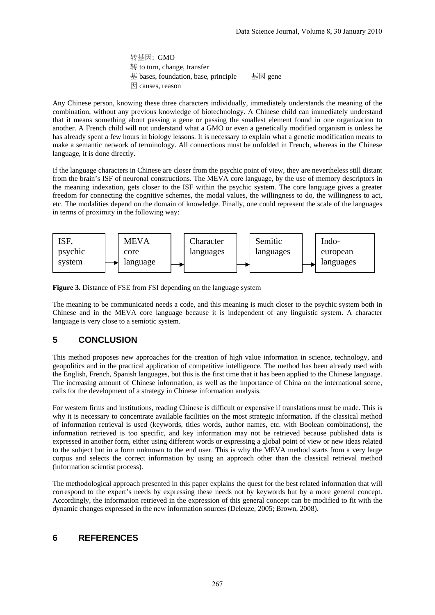转基因: GMO 转 to turn, change, transfer 基 bases, foundation, base, principle 基因 gene 因 causes, reason

Any Chinese person, knowing these three characters individually, immediately understands the meaning of the combination, without any previous knowledge of biotechnology. A Chinese child can immediately understand that it means something about passing a gene or passing the smallest element found in one organization to another. A French child will not understand what a GMO or even a genetically modified organism is unless he has already spent a few hours in biology lessons. It is necessary to explain what a genetic modification means to make a semantic network of terminology. All connections must be unfolded in French, whereas in the Chinese language, it is done directly.

If the language characters in Chinese are closer from the psychic point of view, they are nevertheless still distant from the brain's ISF of neuronal constructions. The MEVA core language, by the use of memory descriptors in the meaning indexation, gets closer to the ISF within the psychic system. The core language gives a greater freedom for connecting the cognitive schemes, the modal values, the willingness to do, the willingness to act, etc. The modalities depend on the domain of knowledge. Finally, one could represent the scale of the languages in terms of proximity in the following way:



**Figure 3.** Distance of FSE from FSI depending on the language system

The meaning to be communicated needs a code, and this meaning is much closer to the psychic system both in Chinese and in the MEVA core language because it is independent of any linguistic system. A character language is very close to a semiotic system.

### **5 CONCLUSION**

This method proposes new approaches for the creation of high value information in science, technology, and geopolitics and in the practical application of competitive intelligence. The method has been already used with the English, French, Spanish languages, but this is the first time that it has been applied to the Chinese language. The increasing amount of Chinese information, as well as the importance of China on the international scene, calls for the development of a strategy in Chinese information analysis.

For western firms and institutions, reading Chinese is difficult or expensive if translations must be made. This is why it is necessary to concentrate available facilities on the most strategic information. If the classical method of information retrieval is used (keywords, titles words, author names, etc. with Boolean combinations), the information retrieved is too specific, and key information may not be retrieved because published data is expressed in another form, either using different words or expressing a global point of view or new ideas related to the subject but in a form unknown to the end user. This is why the MEVA method starts from a very large corpus and selects the correct information by using an approach other than the classical retrieval method (information scientist process).

The methodological approach presented in this paper explains the quest for the best related information that will correspond to the expert's needs by expressing these needs not by keywords but by a more general concept. Accordingly, the information retrieved in the expression of this general concept can be modified to fit with the dynamic changes expressed in the new information sources (Deleuze, 2005; Brown, 2008).

## **6 REFERENCES**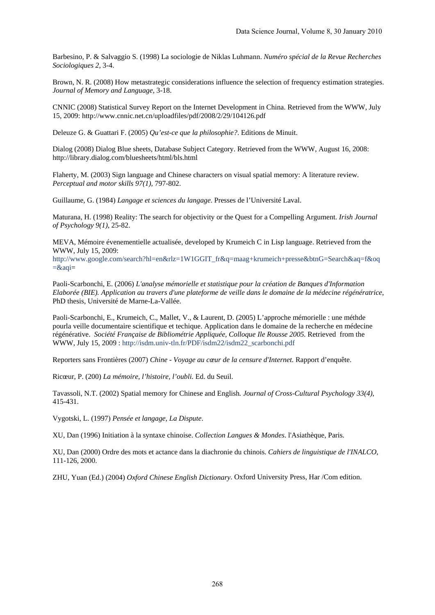Barbesino, P. & Salvaggio S. (1998) La sociologie de Niklas Luhmann. *Numéro spécial de la Revue Recherches Sociologiques 2*, 3-4.

Brown, N. R. (2008) How metastrategic considerations influence the selection of frequency estimation strategies. *Journal of Memory and Language*, 3-18.

CNNIC (2008) Statistical Survey Report on the Internet Development in China. Retrieved from the WWW, July 15, 2009: http://www.cnnic.net.cn/uploadfiles/pdf/2008/2/29/104126.pdf

Deleuze G. & Guattari F. (2005) *Qu'est-ce que la philosophie?*. Editions de Minuit.

Dialog (2008) Dialog Blue sheets, Database Subject Category. Retrieved from the WWW, August 16, 2008: http://library.dialog.com/bluesheets/html/bls.html

Flaherty, M. (2003) Sign language and Chinese characters on visual spatial memory: A literature review*. Perceptual and motor skills 97(1),* 797-802.

Guillaume, G. (1984) *Langage et sciences du langage.* Presses de l'Université Laval.

Maturana, H. (1998) Reality: The search for objectivity or the Quest for a Compelling Argument. *Irish Journal of Psychology 9(1)*, 25-82.

MEVA, Mémoire évenementielle actualisée, developed by Krumeich C in Lisp language. Retrieved from the WWW, July 15, 2009:

http://www.google.com/search?hl=en&rlz=1W1GGIT\_fr&q=maag+krumeich+presse&btnG=Search&aq=f&oq  $=\&$ aqi $=$ 

Paoli-Scarbonchi, E. (2006) *L'analyse mémorielle et statistique pour la création de Banques d'Information Elaborée (BIE). Application au travers d'une plateforme de veille dans le domaine de la médecine régénératrice*, PhD thesis, Université de Marne-La-Vallée.

Paoli-Scarbonchi, E., Krumeich, C., Mallet, V., & Laurent, D. (2005) L'approche mémorielle : une méthde pourla veille documentaire scientifique et techique. Application dans le domaine de la recherche en médecine régénérative. *Société Française de Bibliométrie Appliquée, Colloque Ile Rousse 2005.* Retrieved from the WWW, July 15, 2009 : http://isdm.univ-tln.fr/PDF/isdm22/isdm22\_scarbonchi.pdf

Reporters sans Frontières (2007) *Chine - Voyage au cœur de la censure d'Internet.* Rapport d'enquête.

Ricœur, P. (200) *La mémoire, l'histoire, l'oubli.* Ed. du Seuil.

Tavassoli, N.T. (2002) Spatial memory for Chinese and English*. Journal of Cross-Cultural Psychology 33(4)*, 415-431.

Vygotski, L. (1997) *Pensée et langage, La Dispute*.

XU, Dan (1996) Initiation à la syntaxe chinoise. *Collection Langues & Mondes*. l'Asiathèque, Paris.

XU, Dan (2000) Ordre des mots et actance dans la diachronie du chinois. *Cahiers de linguistique de l'INALCO*, 111-126, 2000.

ZHU, Yuan (Ed.) (2004) *Oxford Chinese English Dictionary*. Oxford University Press, Har /Com edition.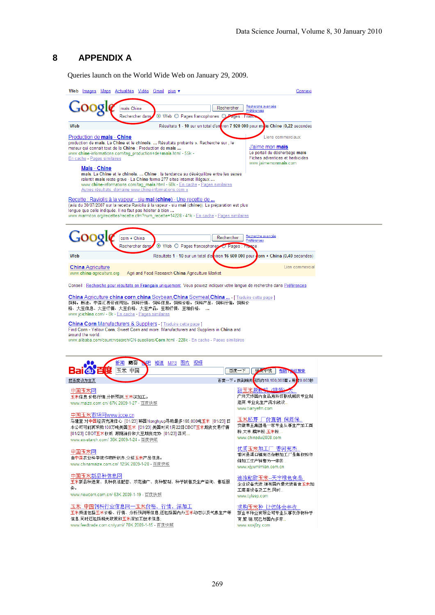# **8 APPENDIX A**

Queries launch on the World Wide Web on January 29, 2009.

| Web <u>Images Maps Actualités Vidéo Gmail plus</u> .▼                                                                                                                                                                                                                                                                               | Connexi                                                                                                                                 |  |  |
|-------------------------------------------------------------------------------------------------------------------------------------------------------------------------------------------------------------------------------------------------------------------------------------------------------------------------------------|-----------------------------------------------------------------------------------------------------------------------------------------|--|--|
| Rechercher<br>maïs Chine                                                                                                                                                                                                                                                                                                            | Recherche avancée<br>Préférences                                                                                                        |  |  |
| $\odot$ Web $\odot$ Pages francophones $\odot$<br>Rechercher dans                                                                                                                                                                                                                                                                   | ages : France                                                                                                                           |  |  |
| Web                                                                                                                                                                                                                                                                                                                                 | Résultats 1 - 10 sur un total d'entiron 7 920 000 pour mais Chine (0,22 secondes                                                        |  |  |
| Production de <b>mais</b> - Chine<br>production de mais. La Chine et le chinois.  Résultats probants ». Recherche sur , le<br>moteur qui connait tout de la Chine : Production de mais<br>www.chine-informations.com/tag_production+de+mais.html - 55k -<br>En cache - Pages similaires<br>Mais - Chine                             | Liens commerciaux<br>J'aime mon <b>maïs</b><br>Le portail du désherbage maïs<br>Fiches adventices et herbicides<br>www.jaimemonmais.com |  |  |
| mais. La Chine et le chinois.  Chine : la tendance au déséquilibre entre les sexes<br>ralentit mais reste grave · La Chine ferme 277 sites internet illégaux<br>www.chine-informations.com/tag_mais.html - 68k - En cache - Pages similaires<br>Autres résultats, domaine www.chine-informations.com »                              |                                                                                                                                         |  |  |
| Recette : Raviolis à la vapeur - siu mai (chine) - Une recette de<br>(avis du 30/07/2007 sur la recette Raviolis à la vapeur - siu mai (chine)). La préparation est plus<br>longue que celle indiquée. Il ne faut pas hésiter à bien<br>www.marmiton.org/recettes/recette.cfm?num_recette=14228 - 41k - En cache - Pages similaires |                                                                                                                                         |  |  |
| Rechercher<br>corn + China<br>⊙ Web ○ Pages francophones<br>Rechercher dans                                                                                                                                                                                                                                                         | <u>Recherche avancée</u><br>Préférences<br>Pages : Fra<br>cе                                                                            |  |  |
| Web<br>Résultats 1 - 10 sur un total d'environ 16 600 000 pour dorn + China (0,40 secondes)                                                                                                                                                                                                                                         |                                                                                                                                         |  |  |
| <b>China Agriculture</b><br>www.china-agriculture.org<br>Agri and Food Research China Agriculture Market                                                                                                                                                                                                                            | Lien commercial                                                                                                                         |  |  |
| Conseil : Recherche pour résultats en Français uniquement. Vous pouvez indiquer votre langue de recherche dans Préférences                                                                                                                                                                                                          |                                                                                                                                         |  |  |
| <b>China Agriculture china corn china Soybean China Soymeal China </b> [ Traduire cette page ]<br>饲料,粮油,中国汇易咨询网站,饲料行情,饲料信息,饲料价格,饲料产品,饲料行情,饲料价<br>格,大豆信息、大豆行情,大豆价格,大豆产品,豆粕行情,豆粕价格,<br>www.jcichina.com/ - 8k - En cache - Pages similaires                                                                                           |                                                                                                                                         |  |  |
| China Corn Manufacturers & Suppliers   Traduire cette page ]<br>Find Corn - Yellow Corn, Sweet Corn and more. Manufacturers and Suppliers in China and<br>around the world.<br>www.alibaba.com/countrysearch/CN-suppliers/Corn.html - 228k - En cache - Pages similaires                                                            |                                                                                                                                         |  |  |
| 网页<br><mark>\$吧 知道 MP3 图片 视频</mark><br>新闻<br>UO                                                                                                                                                                                                                                                                                     |                                                                                                                                         |  |  |
| 玉米 中国<br>Tdu)                                                                                                                                                                                                                                                                                                                       | 百度·<br>结果中找<br>一下<br>帮助<br>認想索                                                                                                          |  |  |
| 把百度设为主页                                                                                                                                                                                                                                                                                                                             | 百度一下,找到相关 <mark>网页约18,100,000篇,用时</mark> 0.063秒                                                                                         |  |  |
| 中国玉米网<br>玉米信息,价格行情,分析预测,玉米深加工。<br>www.maize.com.cn/ 67K 2009-1-27 - 百度快照                                                                                                                                                                                                                                                            | 甜玉米脱粒机 (初版)<br>广州天烨国内食品原料切割机械的专业制<br>造商.专业化生产流水线设<br>www.tianyefm.com                                                                   |  |  |
| 中国玉米市场网www.jcce.cn<br>马建堂:对中国经济充满信心 [01/23] 韩国Nonghyup寻购最多165,000吨玉米 [01/23] 日<br>本公司可能再采购100万吨美国玉米 [01/23] 美国时间1月22日CBOT玉米期货交易行情<br>[01/23] CBOT玉米收低 跟随油价和大豆期货走势 [01/23] 四问<br>www.ex-starch.com/ 36K 2009-1-24 - 百度快照                                                                                                             | 玉米胚芽 厂价直销 保质保<br>安徽蒂王集团是一家专业从事生产加工面<br>粉、大米、糯米粉、玉米粉<br>www.chinadw2008.com                                                              |  |  |
| 中国玉米网<br>由中国农业科学院作物所创办,介绍玉米产品信息。<br>www.chinamaize.com.cn/ 125K 2009-1-20 - 百度快照                                                                                                                                                                                                                                                    | 优质玉米加工厂 香河宪杰.<br>香河县渠口镇宪杰杂粮加工厂是集收购存<br>储加工生产销售为一体的<br>www.xjyumimian.com.cn                                                             |  |  |
| 中国玉米新品种信息网<br>玉米新品种选育、良种良法配套、示范推广、良种繁制、种子销售及生产咨询、售后服<br>务。<br>www.newcorn.com.cn/ 63K 2009-1-19 - 百度快照                                                                                                                                                                                                                              | 速冻粘甜玉米--天宇绿色食品<br>企业设备先进,拥有国内最先进青食玉米加<br>工蒸煮设备及工艺,同时<br>www.tylssp.com                                                                  |  |  |
| 玉米 中国饲料行业信息网一玉米价格、行情、深加工<br>玉米频道包括玉米价格、行情、分析预测等信息,还包括国内外玉米动态以及气象生产等<br>信息,同时还包括相关政策和玉米深加工技术信息;<br>www.feedtrade.com.cn/yumi/ 70K 2009-1-15 - 百度快照                                                                                                                                                                                   | 求购玉米种 让您体会丰收.<br>新金丰种业有限公司专业从事农作物种子<br>育,繁,销,现已与国内多家<br>www.sxxjfzy.com                                                                 |  |  |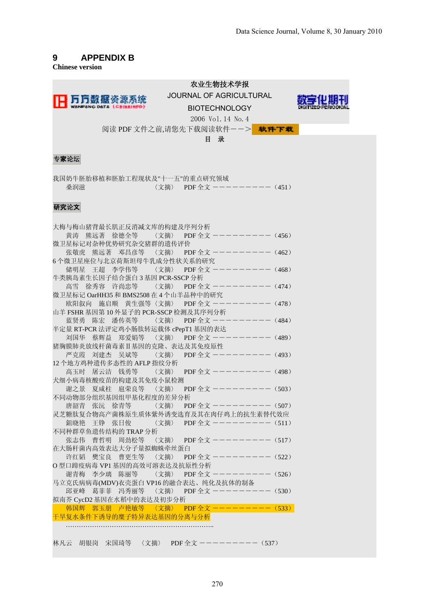## **9 APPENDIX B**

**Chinese version** 

|                                                                                                                           | 农业生物技术学报<br><b>JOURNAL OF AGRICULTURAL</b><br><b>BIOTECHNOLOGY</b> |
|---------------------------------------------------------------------------------------------------------------------------|--------------------------------------------------------------------|
| 阅读 PDF 文件之前,请您先下载阅读软件--> 未件下载                                                                                             | 2006 Vol. 14 No. 4<br>目录                                           |
| 专家论坛                                                                                                                      |                                                                    |
| 我国奶牛胚胎移植和胚胎工程现状及"十一五"的重点研究领域<br>桑润滋                                                                                       | 〈文摘〉 PDF 全文 -------- (451)                                         |
| 研究论文                                                                                                                      |                                                                    |
| 大梅与梅山猪背最长肌正反消减文库的构建及序列分析                                                                                                  |                                                                    |
| 黄涛 熊远著 徐德全等 〈文摘〉 PDF 全文 --------- (456)                                                                                   |                                                                    |
| 微卫星标记对杂种优势研究杂交猪群的遗传评价<br>张敬虎 熊远著 邓昌彦等 〈文摘〉 PDF 全文 --------- (462)                                                         |                                                                    |
| 6个微卫星座位与北京荷斯坦母牛乳成分性状关系的研究                                                                                                 |                                                                    |
| 储明星 王超 李学伟等 < 文摘> PDF 全文 --------- (468)                                                                                  |                                                                    |
| 牛类胰岛素生长因子结合蛋白3基因 PCR-SSCP 分析<br>高雪 徐秀容 许尚忠等 〈文摘〉 PDF 全文 ーーーーーーーー (474)                                                    |                                                                    |
|                                                                                                                           |                                                                    |
| 微卫星标记 OarHH35 和 BMS2508 在 4 个山羊品种中的研究<br>欧阳叙向 施启顺 黄生强等〈文摘〉 PDF 全文 --------- (478)                                         |                                                                    |
| 山羊 FSHR 基因第10 外显子的 PCR-SSCP 检测及其序列分析<br>- FSHR 基因第 10 外显子的 PCR-SSCP 检测及具序列分析<br>- 蓝贤勇 陈宏 潘传英等  〈文摘〉 PDF 全文 ---------(484) |                                                                    |
|                                                                                                                           |                                                                    |
| 半定量 RT-PCR 法评定鸡小肠肽转运载体 cPepT1 基因的表达                                                                                       |                                                                    |
| 猪胸膜肺炎放线杆菌毒素II基因的克隆、表达及其免疫原性                                                                                               |                                                                    |
| 严克霞 刘建杰 吴斌等 〈文摘〉 PDF 全文 ーーーーーーーー (493)                                                                                    |                                                                    |
| 12个地方鸡种遗传多态性的 AFLP 指纹分析                                                                                                   |                                                                    |
|                                                                                                                           |                                                                    |
| 犬细小病毒核酸疫苗的构建及其免疫小鼠检测<br>谢之景 夏咸柱 扈荣良等 〈文摘〉 PDF 全文 ーーーーーーーー (503)                                                           |                                                                    |
| 不同动物部分组织基因组甲基化程度的差异分析                                                                                                     |                                                                    |
| 唐韶青 张沅 徐青等                                                                                                                | 〈文摘〉 PDF 全文 -------- (507)                                         |
| 灵芝糖肽复合物高产菌株原生质体紫外诱变选育及其在肉仔鸡上的抗生素替代效应                                                                                      |                                                                    |
| 鉏晓艳<br>王铮 张日俊                                                                                                             | 〈文摘〉 PDF 全文 --------(511)                                          |
| 不同种群草鱼遗传结构的 TRAP 分析<br>张志伟 曹哲明 周劲松等                                                                                       | 〈文摘〉 PDF 全文 --------- (517)                                        |
| 在大肠杆菌内高效表达大分子量拟蜘蛛牵丝蛋白                                                                                                     |                                                                    |
| 许红韬 樊宝良 曹更生等                                                                                                              | 〈文摘〉 PDF 全文 -------- (522)                                         |
| O 型口蹄疫病毒 VP1 基因的高效可溶表达及抗原性分析                                                                                              |                                                                    |
| 谢青梅 李少璃 陈丽等 〈文摘〉 PDF 全文 ーーーーーーーー (526)                                                                                    |                                                                    |
| 马立克氏病病毒(MDV)衣壳蛋白 VP16 的融合表达、纯化及抗体的制备<br>邱亚峰 葛菲菲 冯秀丽等 〈文摘〉 PDF 全文 --------(530)                                            |                                                                    |
| 拟南芥 CycD2 基因在水稻中的表达及初步分析                                                                                                  |                                                                    |
| 韩国辉 郭玉朋 卢艳敏等 〈文摘〉 PDF 全文 --------(533)                                                                                    |                                                                    |
| 干旱复水条件下诱导的糜子特异表达基因的分离与分析                                                                                                  |                                                                    |
|                                                                                                                           |                                                                    |
| 林凡云 胡银岗 宋国琦等 〈文摘〉 PDF 全文 ーーーーーーーー (537)                                                                                   |                                                                    |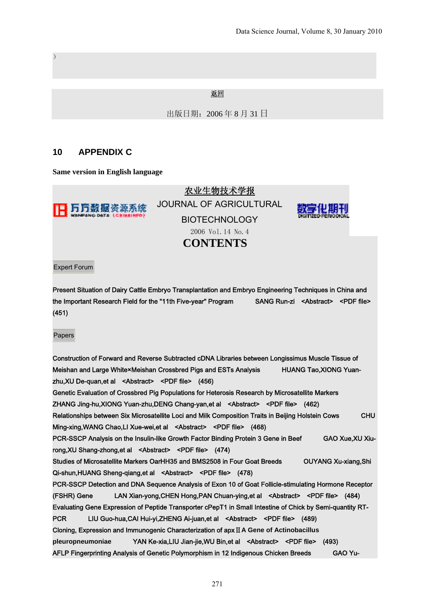#### 返回

出版日期:2006 年 8 月 31 日

#### **10 APPENDIX C**

 $\lambda$ 

**Same version in English language**



Expert Forum

Present Situation of Dairy Cattle Embryo Transplantation and Embryo Engineering Techniques in China and the Important Research Field for the "11th Five-year" Program SANG Run-zi <Abstract> <PDF file> (451)

Papers

Construction of Forward and Reverse Subtracted cDNA Libraries between Longissimus Muscle Tissue of Meishan and Large White×Meishan Crossbred Pigs and ESTs Analysis HUANG Tao,XIONG Yuanzhu,XU De-quan,et al <Abstract> <PDF file> (456) Genetic Evaluation of Crossbred Pig Populations for Heterosis Research by Microsatellite Markers ZHANG Jing-hu,XIONG Yuan-zhu,DENG Chang-yan,et al <Abstract> <PDF file> (462) Relationships between Six Microsatellite Loci and Milk Composition Traits in Beijing Holstein Cows CHU Ming-xing, WANG Chao, LI Xue-wei, et al <Abstract> <PDF file> (468) PCR-SSCP Analysis on the Insulin-like Growth Factor Binding Protein 3 Gene in Beef GAO Xue,XU Xiurong,XU Shang-zhong,et al <Abstract> <PDF file> (474) Studies of Microsatellite Markers OarHH35 and BMS2508 in Four Goat Breeds OUYANG Xu-xiang.Shi Qi-shun,HUANG Sheng-qiang,et al <Abstract> <PDF file> (478) PCR-SSCP Detection and DNA Sequence Analysis of Exon 10 of Goat Follicle-stimulating Hormone Receptor (FSHR) Gene LAN Xian-yong,CHEN Hong,PAN Chuan-ying,et al <Abstract> <PDF file> (484) Evaluating Gene Expression of Peptide Transporter cPepT1 in Small Intestine of Chick by Semi-quantity RT-PCR LIU Guo-hua,CAI Hui-yi,ZHENG Ai-juan,et al <Abstract> <PDF file> (489) Cloning, Expression and Immunogenic Characterization of apxⅡ**A Gene of Actinobacillus pleuropneumoniae** YAN Ke-xia,LIU Jian-jie,WU Bin,et al <Abstract> <PDF file> (493) AFLP Fingerprinting Analysis of Genetic Polymorphism in 12 Indigenous Chicken Breeds GAO Yu